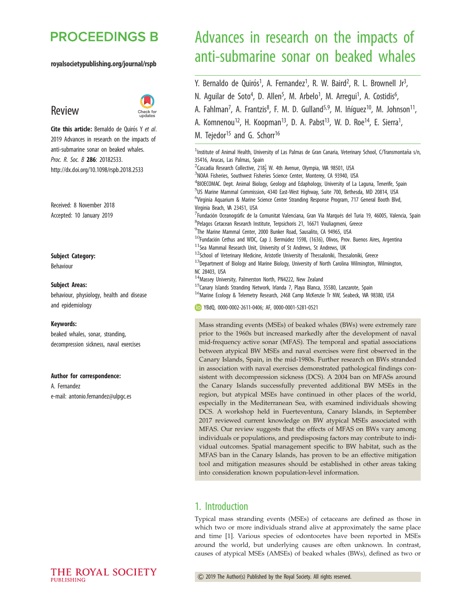# **PROCEEDINGS B**

#### royalsocietypublishing.org/journal/rspb





Cite this article: Bernaldo de Quirós Y et al. 2019 Advances in research on the impacts of anti-submarine sonar on beaked whales. Proc. R. Soc. B 286: 20182533. http://dx.doi.org/10.1098/rspb.2018.2533

Received: 8 November 2018 Accepted: 10 January 2019

Subject Category:

Behaviour

#### Subject Areas:

behaviour, physiology, health and disease and epidemiology

#### Keywords:

beaked whales, sonar, stranding, decompression sickness, naval exercises

#### Author for correspondence:

A. Fernandez e-mail: antonio.fernandez@ulpgc.es

# Advances in research on the impacts of anti-submarine sonar on beaked whales

Y. Bernaldo de Quirós<sup>1</sup>, A. Fernandez<sup>1</sup>, R. W. Baird<sup>2</sup>, R. L. Brownell Jr<sup>3</sup>

,

,

- N. Aguilar de Soto<sup>4</sup>, D. Allen<sup>5</sup>, M. Arbelo<sup>1</sup>, M. Arregui<sup>1</sup>, A. Costidis<sup>6</sup> ,
- A. Fahlman<sup>7</sup>, A. Frantzis<sup>8</sup>, F. M. D. Gulland<sup>5,9</sup>, M. Iñíguez<sup>10</sup>, M. Johnson<sup>11</sup>,
- A. Komnenou<sup>12</sup>, H. Koopman<sup>13</sup>, D. A. Pabst<sup>13</sup>, W. D. Roe<sup>14</sup>, E. Sierra<sup>1</sup>,
- M. Tejedor<sup>15</sup> and G. Schorr<sup>16</sup>

<sup>1</sup>Institute of Animal Health, University of Las Palmas de Gran Canaria, Veterinary School, C/Transmontaña s/n, 35416, Arucas, Las Palmas, Spain <sup>2</sup>Cascadia Research Collective, 218<sup>1</sup> W. 4th Avenue, Olympia, WA 98501, USA<br><sup>3</sup>NOAA Eisheries, Southwest Eisheries Science Center, Monterey, CA 93940, US <sup>3</sup>NOAA Fisheries, Southwest Fisheries Science Center, Monterey, CA 93940, USA <sup>4</sup>BIOECOMAC. Dept. Animal Biology, Geology and Edaphology, University of La Laguna, Tenerife, Spain <sup>5</sup>US Marine Mammal Commission, 4340 East-West Highway, Suite 700, Bethesda, MD 20814, USA <sup>6</sup>Virginia Aquarium & Marine Science Center Stranding Response Program, 717 General Booth Blvd, Virginia Beach, VA 23451, USA  $^7$ Fundación Oceanogràfic de la Comunitat Valenciana, Gran Vía Marqués del Turia 19, 46005, Valencia, Spain 8 Pelagos Cetacean Research Institute, Terpsichoris 21, 16671 Vouliagmeni, Greece 9 The Marine Mammal Center, 2000 Bunker Road, Sausalito, CA 94965, USA  $^{10}$ Fundación Cethus and WDC, Cap J. Bermúdez 1598, (1636), Olivos, Prov. Buenos Aires, Argentina  $11$ Sea Mammal Research Unit, University of St Andrews, St Andrews, UK  $12$ School of Veterinary Medicine, Aristotle University of Thessaloniki, Thessaloniki, Greece  $^{13}$ Department of Biology and Marine Biology, University of North Carolina Wilmington, Wilmington, NC 28403, USA 14 Massey University, Palmerston North, PN4222, New Zealand  $^{15}$ Canary Islands Stranding Network, Irlanda 7, Playa Blanca, 35580, Lanzarote, Spain <sup>16</sup>Marine Ecology & Telemetry Research, 2468 Camp McKenzie Tr NW, Seabeck, WA 98380, USA YBdQ, 0000-0002-2611-0406; AF, 0000-0001-5281-0521

Mass stranding events (MSEs) of beaked whales (BWs) were extremely rare prior to the 1960s but increased markedly after the development of naval mid-frequency active sonar (MFAS). The temporal and spatial associations between atypical BW MSEs and naval exercises were first observed in the Canary Islands, Spain, in the mid-1980s. Further research on BWs stranded in association with naval exercises demonstrated pathological findings consistent with decompression sickness (DCS). A 2004 ban on MFASs around the Canary Islands successfully prevented additional BW MSEs in the region, but atypical MSEs have continued in other places of the world, especially in the Mediterranean Sea, with examined individuals showing DCS. A workshop held in Fuerteventura, Canary Islands, in September 2017 reviewed current knowledge on BW atypical MSEs associated with MFAS. Our review suggests that the effects of MFAS on BWs vary among individuals or populations, and predisposing factors may contribute to individual outcomes. Spatial management specific to BW habitat, such as the MFAS ban in the Canary Islands, has proven to be an effective mitigation tool and mitigation measures should be established in other areas taking into consideration known population-level information.

### 1. Introduction

Typical mass stranding events (MSEs) of cetaceans are defined as those in which two or more individuals strand alive at approximately the same place and time [1]. Various species of odontocetes have been reported in MSEs around the world, but underlying causes are often unknown. In contrast, causes of atypical MSEs (AMSEs) of beaked whales (BWs), defined as two or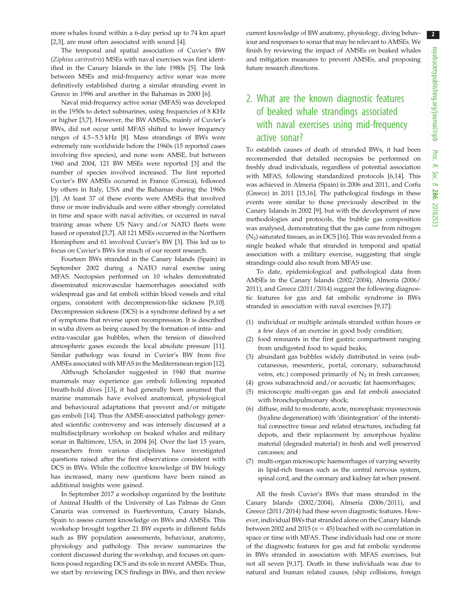more whales found within a 6-day period up to 74 km apart [2,3], are most often associated with sound [4].

The temporal and spatial association of Cuvier's BW (Ziphius cavirostris) MSEs with naval exercises was first identified in the Canary Islands in the late 1980s [5]. The link between MSEs and mid-frequency active sonar was more definitively established during a similar stranding event in Greece in 1996 and another in the Bahamas in 2000 [6].

Naval mid-frequency active sonar (MFAS) was developed in the 1950s to detect submarines, using frequencies of 8 KHz or higher [3,7]. However, the BW AMSEs, mainly of Cuvier's BWs, did not occur until MFAS shifted to lower frequency ranges of 4.5–5.5 kHz [8]. Mass strandings of BWs were extremely rare worldwide before the 1960s (15 reported cases involving five species), and none were AMSE, but between 1960 and 2004, 121 BW MSEs were reported [3] and the number of species involved increased. The first reported Cuvier's BW AMSEs occurred in France (Corsica), followed by others in Italy, USA and the Bahamas during the 1960s [3]. At least 37 of these events were AMSEs that involved three or more individuals and were either strongly correlated in time and space with naval activities, or occurred in naval training areas where US Navy and/or NATO fleets were based or operated [3,7]. All 121 MSEs occurred in the Northern Hemisphere and 61 involved Cuvier's BW [3]. This led us to focus on Cuvier's BWs for much of our recent research.

Fourteen BWs stranded in the Canary Islands (Spain) in September 2002 during a NATO naval exercise using MFAS. Necropsies performed on 10 whales demonstrated disseminated microvascular haemorrhages associated with widespread gas and fat emboli within blood vessels and vital organs, consistent with decompression-like sickness [9,10]. Decompression sickness (DCS) is a syndrome defined by a set of symptoms that reverse upon recompression. It is described in scuba divers as being caused by the formation of intra- and extra-vascular gas bubbles, when the tension of dissolved atmospheric gases exceeds the local absolute pressure [11]. Similar pathology was found in Cuvier's BW from five AMSEs associated with MFAS in the Mediterranean region [12].

Although Scholander suggested in 1940 that marine mammals may experience gas emboli following repeated breath-hold dives [13], it had generally been assumed that marine mammals have evolved anatomical, physiological and behavioural adaptations that prevent and/or mitigate gas emboli [14]. Thus the AMSE-associated pathology generated scientific controversy and was intensely discussed at a multidisciplinary workshop on beaked whales and military sonar in Baltimore, USA, in 2004 [6]. Over the last 15 years, researchers from various disciplines have investigated questions raised after the first observations consistent with DCS in BWs. While the collective knowledge of BW biology has increased, many new questions have been raised as additional insights were gained.

In September 2017 a workshop organized by the Institute of Animal Health of the University of Las Palmas de Gran Canaria was convened in Fuerteventura, Canary Islands, Spain to assess current knowledge on BWs and AMSEs. This workshop brought together 21 BW experts in different fields such as BW population assessments, behaviour, anatomy, physiology and pathology. This review summarizes the content discussed during the workshop, and focuses on questions posed regarding DCS and its role in recent AMSEs. Thus, we start by reviewing DCS findings in BWs, and then review

current knowledge of BW anatomy, physiology, diving behaviour and responses to sonar that may be relevant to AMSEs. We finish by reviewing the impact of AMSEs on beaked whales and mitigation measures to prevent AMSEs, and proposing future research directions.

# 2. What are the known diagnostic features of beaked whale strandings associated with naval exercises using mid-frequency active sonar?

To establish causes of death of stranded BWs, it had been recommended that detailed necropsies be performed on freshly dead individuals, regardless of potential association with MFAS, following standardized protocols [6,14]. This was achieved in Almeria (Spain) in 2006 and 2011, and Corfu (Greece) in 2011 [15,16]. The pathological findings in these events were similar to those previously described in the Canary Islands in 2002 [9], but with the development of new methodologies and protocols, the bubble gas composition was analysed, demonstrating that the gas came from nitrogen  $(N_2)$  saturated tissues, as in DCS [16]. This was revealed from a single beaked whale that stranded in temporal and spatial association with a military exercise, suggesting that single strandings could also result from MFAS use.

To date, epidemiological and pathological data from AMSEs in the Canary Islands (2002/2004), Almería (2006/ 2011), and Greece (2011/2014) suggest the following diagnostic features for gas and fat embolic syndrome in BWs stranded in association with naval exercises [9,17]:

- (1) individual or multiple animals stranded within hours or a few days of an exercise in good body condition;
- (2) food remnants in the first gastric compartment ranging from undigested food to squid beaks;
- (3) abundant gas bubbles widely distributed in veins (subcutaneous, mesenteric, portal, coronary, subarachnoid veins, etc.) composed primarily of  $N<sub>2</sub>$  in fresh carcasses;
- (4) gross subarachnoid and/or acoustic fat haemorrhages;
- (5) microscopic multi-organ gas and fat emboli associated with bronchopulmonary shock;
- (6) diffuse, mild to moderate, acute, monophasic myonecrosis (hyaline degeneration) with 'disintegration' of the interstitial connective tissue and related structures, including fat depots, and their replacement by amorphous hyaline material (degraded material) in fresh and well preserved carcasses; and
- (7) multi-organ microscopic haemorrhages of varying severity in lipid-rich tissues such as the central nervous system, spinal cord, and the coronary and kidney fat when present.

All the fresh Cuvier's BWs that mass stranded in the Canary Islands (2002/2004), Almería (2006/2011), and Greece (2011/2014) had these seven diagnostic features. However, individual BWs that stranded alone on the Canary Islands between 2002 and 2015 ( $n = 45$ ) beached with no correlation in space or time with MFAS. These individuals had one or more of the diagnostic features for gas and fat embolic syndrome in BWs stranded in association with MFAS exercises, but not all seven [9,17]. Death in these individuals was due to natural and human related causes, (ship collisions, foreign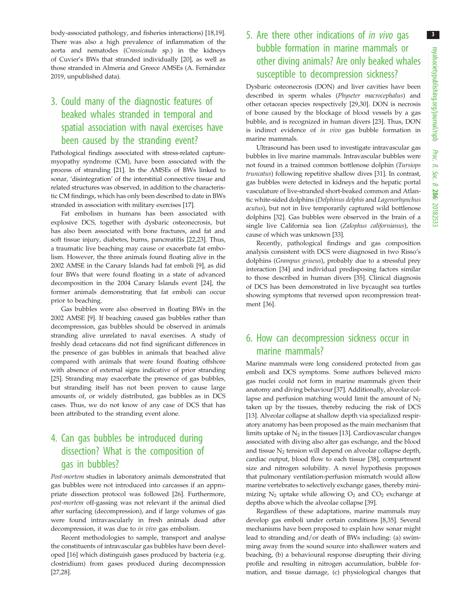body-associated pathology, and fisheries interactions) [18,19]. There was also a high prevalence of inflammation of the aorta and nematodes (Crassicauda sp.) in the kidneys of Cuvier's BWs that stranded individually [20], as well as those stranded in Almeria and Greece AMSEs (A. Fernández 2019, unpublished data).

# 3. Could many of the diagnostic features of beaked whales stranded in temporal and spatial association with naval exercises have been caused by the stranding event?

Pathological findings associated with stress-related capturemyopathy syndrome (CM), have been associated with the process of stranding [21]. In the AMSEs of BWs linked to sonar, 'disintegration' of the interstitial connective tissue and related structures was observed, in addition to the characteristic CM findings, which has only been described to date in BWs stranded in association with military exercises [17].

Fat embolism in humans has been associated with explosive DCS, together with dysbaric osteonecrosis, but has also been associated with bone fractures, and fat and soft tissue injury, diabetes, burns, pancreatitis [22,23]. Thus, a traumatic live beaching may cause or exacerbate fat embolism. However, the three animals found floating alive in the 2002 AMSE in the Canary Islands had fat emboli [9], as did four BWs that were found floating in a state of advanced decomposition in the 2004 Canary Islands event [24], the former animals demonstrating that fat emboli can occur prior to beaching.

Gas bubbles were also observed in floating BWs in the 2002 AMSE [9]. If beaching caused gas bubbles rather than decompression, gas bubbles should be observed in animals stranding alive unrelated to naval exercises. A study of freshly dead cetaceans did not find significant differences in the presence of gas bubbles in animals that beached alive compared with animals that were found floating offshore with absence of external signs indicative of prior stranding [25]. Stranding may exacerbate the presence of gas bubbles, but stranding itself has not been proven to cause large amounts of, or widely distributed, gas bubbles as in DCS cases. Thus, we do not know of any case of DCS that has been attributed to the stranding event alone.

## 4. Can gas bubbles be introduced during dissection? What is the composition of gas in bubbles?

Post-mortem studies in laboratory animals demonstrated that gas bubbles were not introduced into carcasses if an appropriate dissection protocol was followed [26]. Furthermore, post-mortem off-gassing was not relevant if the animal died after surfacing (decompression), and if large volumes of gas were found intravascularly in fresh animals dead after decompression, it was due to in vivo gas embolism.

Recent methodologies to sample, transport and analyse the constituents of intravascular gas bubbles have been developed [16] which distinguish gases produced by bacteria (e.g. clostridium) from gases produced during decompression [27,28].

# 5. Are there other indications of in vivo gas bubble formation in marine mammals or other diving animals? Are only beaked whales susceptible to decompression sickness?

Dysbaric osteonecrosis (DON) and liver cavities have been described in sperm whales (Physeter macrocephalus) and other cetacean species respectively [29,30]. DON is necrosis of bone caused by the blockage of blood vessels by a gas bubble, and is recognized in human divers [23]. Thus, DON is indirect evidence of in vivo gas bubble formation in marine mammals.

Ultrasound has been used to investigate intravascular gas bubbles in live marine mammals. Intravascular bubbles were not found in a trained common bottlenose dolphin (Tursiops truncatus) following repetitive shallow dives [31]. In contrast, gas bubbles were detected in kidneys and the hepatic portal vasculature of live-stranded short-beaked common and Atlantic white-sided dolphins (Delphinus delphis and Lagenorhynchus acutus), but not in live temporarily captured wild bottlenose dolphins [32]. Gas bubbles were observed in the brain of a single live California sea lion (Zalophus californianus), the cause of which was unknown [33].

Recently, pathological findings and gas composition analysis consistent with DCS were diagnosed in two Risso's dolphins (Grampus griseus), probably due to a stressful prey interaction [34] and individual predisposing factors similar to those described in human divers [35]. Clinical diagnosis of DCS has been demonstrated in live bycaught sea turtles showing symptoms that reversed upon recompression treatment [36].

### 6. How can decompression sickness occur in marine mammals?

Marine mammals were long considered protected from gas emboli and DCS symptoms. Some authors believed micro gas nuclei could not form in marine mammals given their anatomy and diving behaviour [37]. Additionally, alveolar collapse and perfusion matching would limit the amount of  $N_2$ taken up by the tissues, thereby reducing the risk of DCS [13]. Alveolar collapse at shallow depth via specialized respiratory anatomy has been proposed as the main mechanism that limits uptake of  $N_2$  in the tissues [13]. Cardiovascular changes associated with diving also alter gas exchange, and the blood and tissue  $N_2$  tension will depend on alveolar collapse depth, cardiac output, blood flow to each tissue [38], compartment size and nitrogen solubility. A novel hypothesis proposes that pulmonary ventilation-perfusion mismatch would allow marine vertebrates to selectively exchange gases, thereby minimizing  $N_2$  uptake while allowing  $O_2$  and  $CO_2$  exchange at depths above which the alveolae collapse [39].

Regardless of these adaptations, marine mammals may develop gas emboli under certain conditions [8,35]. Several mechanisms have been proposed to explain how sonar might lead to stranding and/or death of BWs including: (a) swimming away from the sound source into shallower waters and beaching, (b) a behavioural response disrupting their diving profile and resulting in nitrogen accumulation, bubble formation, and tissue damage, (c) physiological changes that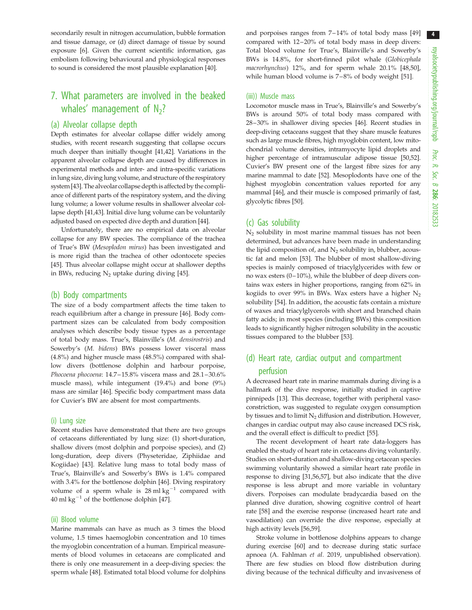secondarily result in nitrogen accumulation, bubble formation and tissue damage, or (d) direct damage of tissue by sound exposure [6]. Given the current scientific information, gas embolism following behavioural and physiological responses to sound is considered the most plausible explanation [40].

## 7. What parameters are involved in the beaked whales' management of  $N_2$ ?

#### (a) Alveolar collapse depth

Depth estimates for alveolar collapse differ widely among studies, with recent research suggesting that collapse occurs much deeper than initially thought [41,42]. Variations in the apparent alveolar collapse depth are caused by differences in experimental methods and inter- and intra-specific variations in lung size, diving lung volume, and structure of the respiratory system [43]. The alveolar collapse depthis affected by the compliance of different parts of the respiratory system, and the diving lung volume; a lower volume results in shallower alveolar collapse depth [41,43]. Initial dive lung volume can be voluntarily adjusted based on expected dive depth and duration [44].

Unfortunately, there are no empirical data on alveolar collapse for any BW species. The compliance of the trachea of True's BW (Mesoplodon mirus) has been investigated and is more rigid than the trachea of other odontocete species [45]. Thus alveolar collapse might occur at shallower depths in BWs, reducing  $N_2$  uptake during diving [45].

#### (b) Body compartments

The size of a body compartment affects the time taken to reach equilibrium after a change in pressure [46]. Body compartment sizes can be calculated from body composition analyses which describe body tissue types as a percentage of total body mass. True's, Blainville's (M. densirostris) and Sowerby's (M. bidens) BWs possess lower visceral mass (4.8%) and higher muscle mass (48.5%) compared with shallow divers (bottlenose dolphin and harbour porpoise, Phocoena phocoena: 14.7-15.8% viscera mass and 28.1-30.6% muscle mass), while integument (19.4%) and bone (9%) mass are similar [46]. Specific body compartment mass data for Cuvier's BW are absent for most compartments.

#### (i) Lung size

Recent studies have demonstrated that there are two groups of cetaceans differentiated by lung size: (1) short-duration, shallow divers (most dolphin and porpoise species), and (2) long-duration, deep divers (Physeteridae, Ziphiidae and Kogiidae) [43]. Relative lung mass to total body mass of True's, Blainville's and Sowerby's BWs is 1.4% compared with 3.4% for the bottlenose dolphin [46]. Diving respiratory volume of a sperm whale is  $28 \text{ ml kg}^{-1}$  compared with 40 ml  $kg^{-1}$  of the bottlenose dolphin [47].

#### (ii) Blood volume

Marine mammals can have as much as 3 times the blood volume, 1.5 times haemoglobin concentration and 10 times the myoglobin concentration of a human. Empirical measurements of blood volumes in cetaceans are complicated and there is only one measurement in a deep-diving species: the sperm whale [48]. Estimated total blood volume for dolphins and porpoises ranges from 7–14% of total body mass [49] compared with 12–20% of total body mass in deep divers: Total blood volume for True's, Blainville's and Sowerby's BWs is 14.8%, for short-finned pilot whale (Globicephala macrorhynchus) 12%, and for sperm whale 20.1% [48,50], while human blood volume is 7-8% of body weight [51].

#### (iii)) Muscle mass

Locomotor muscle mass in True's, Blainville's and Sowerby's BWs is around 50% of total body mass compared with 28–30% in shallower diving species [46]. Recent studies in deep-diving cetaceans suggest that they share muscle features such as large muscle fibres, high myoglobin content, low mitochondrial volume densities, intramyocyte lipid droplets and higher percentage of intramuscular adipose tissue [50,52]. Cuvier's BW present one of the largest fibre sizes for any marine mammal to date [52]. Mesoplodonts have one of the highest myoglobin concentration values reported for any mammal [46], and their muscle is composed primarily of fast, glycolytic fibres [50].

#### (c) Gas solubility

N2 solubility in most marine mammal tissues has not been determined, but advances have been made in understanding the lipid composition of, and  $N_2$  solubility in, blubber, acoustic fat and melon [53]. The blubber of most shallow-diving species is mainly composed of triacylglycerides with few or no wax esters  $(0-10\%)$ , while the blubber of deep divers contains wax esters in higher proportions, ranging from 62% in kogiids to over 99% in BWs. Wax esters have a higher  $N_2$ solubility [54]. In addition, the acoustic fats contain a mixture of waxes and triacylglycerols with short and branched chain fatty acids; in most species (including BWs) this composition leads to significantly higher nitrogen solubility in the acoustic tissues compared to the blubber [53].

### (d) Heart rate, cardiac output and compartment perfusion

A decreased heart rate in marine mammals during diving is a hallmark of the dive response, initially studied in captive pinnipeds [13]. This decrease, together with peripheral vasoconstriction, was suggested to regulate oxygen consumption by tissues and to limit  $N_2$  diffusion and distribution. However, changes in cardiac output may also cause increased DCS risk, and the overall effect is difficult to predict [55].

The recent development of heart rate data-loggers has enabled the study of heart rate in cetaceans diving voluntarily. Studies on short-duration and shallow-diving cetacean species swimming voluntarily showed a similar heart rate profile in response to diving [31,56,57], but also indicate that the dive response is less abrupt and more variable in voluntary divers. Porpoises can modulate bradycardia based on the planned dive duration, showing cognitive control of heart rate [58] and the exercise response (increased heart rate and vasodilation) can override the dive response, especially at high activity levels [56,59].

Stroke volume in bottlenose dolphins appears to change during exercise [60] and to decrease during static surface apnoea (A. Fahlman et al. 2019, unpublished observation). There are few studies on blood flow distribution during diving because of the technical difficulty and invasiveness of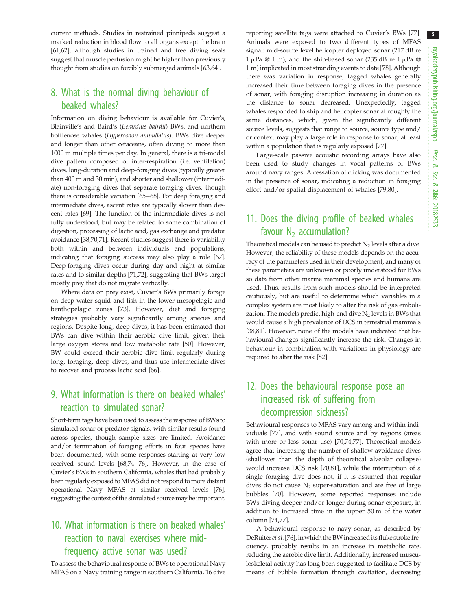current methods. Studies in restrained pinnipeds suggest a marked reduction in blood flow to all organs except the brain [61,62], although studies in trained and free diving seals suggest that muscle perfusion might be higher than previously thought from studies on forcibly submerged animals [63,64].

### 8. What is the normal diving behaviour of beaked whales?

Information on diving behaviour is available for Cuvier's, Blainville's and Baird's (Berardius bairdii) BWs, and northern bottlenose whales (Hyperoodon ampullatus). BWs dive deeper and longer than other cetaceans, often diving to more than 1000 m multiple times per day. In general, there is a tri-modal dive pattern composed of inter-respiration (i.e. ventilation) dives, long-duration and deep-foraging dives (typically greater than 400 m and 30 min), and shorter and shallower (intermediate) non-foraging dives that separate foraging dives, though there is considerable variation [65–68]. For deep foraging and intermediate dives, ascent rates are typically slower than descent rates [69]. The function of the intermediate dives is not fully understood, but may be related to some combination of digestion, processing of lactic acid, gas exchange and predator avoidance [38,70,71]. Recent studies suggest there is variability both within and between individuals and populations, indicating that foraging success may also play a role [67]. Deep-foraging dives occur during day and night at similar rates and to similar depths [71,72], suggesting that BWs target mostly prey that do not migrate vertically.

Where data on prey exist, Cuvier's BWs primarily forage on deep-water squid and fish in the lower mesopelagic and benthopelagic zones [73]. However, diet and foraging strategies probably vary significantly among species and regions. Despite long, deep dives, it has been estimated that BWs can dive within their aerobic dive limit, given their large oxygen stores and low metabolic rate [50]. However, BW could exceed their aerobic dive limit regularly during long, foraging, deep dives, and thus use intermediate dives to recover and process lactic acid [66].

# 9. What information is there on beaked whales' reaction to simulated sonar?

Short-term tags have been used to assess the response of BWs to simulated sonar or predator signals, with similar results found across species, though sample sizes are limited. Avoidance and/or termination of foraging efforts in four species have been documented, with some responses starting at very low received sound levels [68,74–76]. However, in the case of Cuvier's BWs in southern California, whales that had probably been regularly exposed to MFAS did not respond to more distant operational Navy MFAS at similar received levels [76], suggesting the context of the simulated source may be important.

# 10. What information is there on beaked whales' reaction to naval exercises where midfrequency active sonar was used?

To assess the behavioural response of BWs to operational Navy MFAS on a Navy training range in southern California, 16 dive reporting satellite tags were attached to Cuvier's BWs [77]. Animals were exposed to two different types of MFAS signal: mid-source level helicopter deployed sonar (217 dB re  $1 \mu Pa \ @ \ 1 \text{ m}$ ), and the ship-based sonar (235 dB re  $1 \mu Pa \ @ \$ 1 m) implicated in most stranding events to date [78]. Although there was variation in response, tagged whales generally increased their time between foraging dives in the presence of sonar, with foraging disruption increasing in duration as the distance to sonar decreased. Unexpectedly, tagged whales responded to ship and helicopter sonar at roughly the same distances, which, given the significantly different source levels, suggests that range to source, source type and/ or context may play a large role in response to sonar, at least within a population that is regularly exposed [77].

Large-scale passive acoustic recording arrays have also been used to study changes in vocal patterns of BWs around navy ranges. A cessation of clicking was documented in the presence of sonar, indicating a reduction in foraging effort and/or spatial displacement of whales [79,80].

# 11. Does the diving profile of beaked whales favour  $N_2$  accumulation?

Theoretical models can be used to predict  $N_2$  levels after a dive. However, the reliability of these models depends on the accuracy of the parameters used in their development, and many of these parameters are unknown or poorly understood for BWs so data from other marine mammal species and humans are used. Thus, results from such models should be interpreted cautiously, but are useful to determine which variables in a complex system are most likely to alter the risk of gas embolization. The models predict high-end dive  $N_2$  levels in BWs that would cause a high prevalence of DCS in terrestrial mammals [38,81]. However, none of the models have indicated that behavioural changes significantly increase the risk. Changes in behaviour in combination with variations in physiology are required to alter the risk [82].

## 12. Does the behavioural response pose an increased risk of suffering from decompression sickness?

Behavioural responses to MFAS vary among and within individuals [77], and with sound source and by regions (areas with more or less sonar use) [70,74,77]. Theoretical models agree that increasing the number of shallow avoidance dives (shallower than the depth of theoretical alveolar collapse) would increase DCS risk [70,81], while the interruption of a single foraging dive does not, if it is assumed that regular dives do not cause  $N_2$  super-saturation and are free of large bubbles [70]. However, some reported responses include BWs diving deeper and/or longer during sonar exposure, in addition to increased time in the upper 50 m of the water column [74,77].

A behavioural response to navy sonar, as described by DeRuiter et al. [76], in which the BW increased its fluke stroke frequency, probably results in an increase in metabolic rate, reducing the aerobic dive limit. Additionally, increased musculoskeletal activity has long been suggested to facilitate DCS by means of bubble formation through cavitation, decreasing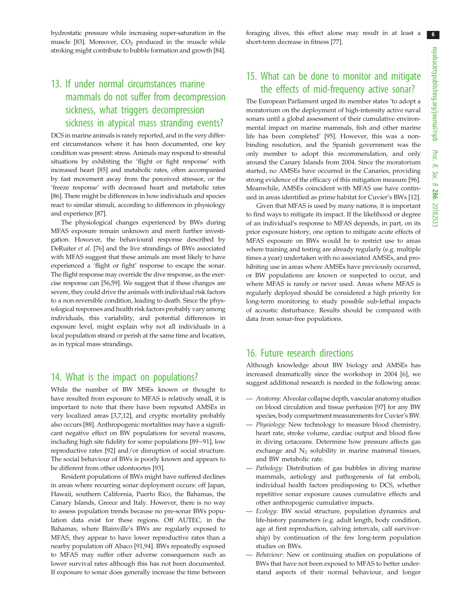hydrostatic pressure while increasing super-saturation in the muscle [83]. Moreover,  $CO<sub>2</sub>$  produced in the muscle while stroking might contribute to bubble formation and growth [84].

# 13. If under normal circumstances marine mammals do not suffer from decompression sickness, what triggers decompression sickness in atypical mass stranding events?

DCS in marine animals is rarely reported, and in the very different circumstances where it has been documented, one key condition was present: stress. Animals may respond to stressful situations by exhibiting the 'flight or fight response' with increased heart [85] and metabolic rates, often accompanied by fast movement away from the perceived stressor, or the 'freeze response' with decreased heart and metabolic rates [86]. There might be differences in how individuals and species react to similar stimuli, according to differences in physiology and experience [87].

The physiological changes experienced by BWs during MFAS exposure remain unknown and merit further investigation. However, the behavioural response described by DeRuiter et al. [76] and the live strandings of BWs associated with MFAS suggest that these animals are most likely to have experienced a 'flight or fight' response to escape the sonar. The flight response may override the dive response, as the exercise response can [56,59]. We suggest that if these changes are severe, they could drive the animals with individual risk factors to a non-reversible condition, leading to death. Since the physiological responses and health risk factors probably vary among individuals, this variability, and potential differences in exposure level, might explain why not all individuals in a local population strand or perish at the same time and location, as in typical mass strandings.

### 14. What is the impact on populations?

While the number of BW MSEs known or thought to have resulted from exposure to MFAS is relatively small, it is important to note that there have been repeated AMSEs in very localized areas [3,7,12], and cryptic mortality probably also occurs [88]. Anthropogenic mortalities may have a significant negative effect on BW populations for several reasons, including high site fidelity for some populations [89–91], low reproductive rates [92] and/or disruption of social structure. The social behaviour of BWs is poorly known and appears to be different from other odontocetes [93].

Resident populations of BWs might have suffered declines in areas where recurring sonar deployment occurs: off Japan, Hawaii, southern California, Puerto Rico, the Bahamas, the Canary Islands, Greece and Italy. However, there is no way to assess population trends because no pre-sonar BWs population data exist for these regions. Off AUTEC, in the Bahamas, where Blainville's BWs are regularly exposed to MFAS, they appear to have lower reproductive rates than a nearby population off Abaco [91,94]. BWs repeatedly exposed to MFAS may suffer other adverse consequences such as lower survival rates although this has not been documented. If exposure to sonar does generally increase the time between

foraging dives, this effect alone may result in at least a short-term decrease in fitness [77].

### 15. What can be done to monitor and mitigate the effects of mid-frequency active sonar?

The European Parliament urged its member states 'to adopt a moratorium on the deployment of high-intensity active naval sonars until a global assessment of their cumulative environmental impact on marine mammals, fish and other marine life has been completed' [95]. However, this was a nonbinding resolution, and the Spanish government was the only member to adopt this recommendation, and only around the Canary Islands from 2004. Since the moratorium started, no AMSEs have occurred in the Canaries, providing strong evidence of the efficacy of this mitigation measure [96]. Meanwhile, AMSEs coincident with MFAS use have continued in areas identified as prime habitat for Cuvier's BWs [12].

Given that MFAS is used by many nations, it is important to find ways to mitigate its impact. If the likelihood or degree of an individual's response to MFAS depends, in part, on its prior exposure history, one option to mitigate acute effects of MFAS exposure on BWs would be to restrict use to areas where training and testing are already regularly (e.g. multiple times a year) undertaken with no associated AMSEs, and prohibiting use in areas where AMSEs have previously occurred, or BW populations are known or suspected to occur, and where MFAS is rarely or never used. Areas where MFAS is regularly deployed should be considered a high priority for long-term monitoring to study possible sub-lethal impacts of acoustic disturbance. Results should be compared with data from sonar-free populations.

### 16. Future research directions

Although knowledge about BW biology and AMSEs has increased dramatically since the workshop in 2004 [6], we suggest additional research is needed in the following areas:

- Anatomy: Alveolar collapse depth, vascular anatomy studies on blood circulation and tissue perfusion [97] for any BW species, body compartment measurements for Cuvier's BW.
- Physiology: New technology to measure blood chemistry, heart rate, stroke volume, cardiac output and blood flow in diving cetaceans. Determine how pressure affects gas exchange and  $N_2$  solubility in marine mammal tissues, and BW metabolic rate.
- Pathology: Distribution of gas bubbles in diving marine mammals, aetiology and pathogenesis of fat emboli, individual health factors predisposing to DCS, whether repetitive sonar exposure causes cumulative effects and other anthropogenic cumulative impacts.
- Ecology: BW social structure, population dynamics and life-history parameters (e.g. adult length, body condition, age at first reproduction, calving intervals, calf survivorship) by continuation of the few long-term population studies on BWs.
- Behaviour: New or continuing studies on populations of BWs that have not been exposed to MFAS to better understand aspects of their normal behaviour, and longer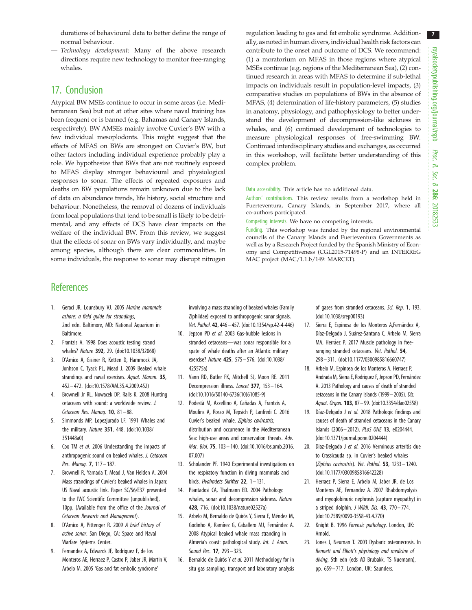durations of behavioural data to better define the range of normal behaviour.

— Technology development: Many of the above research directions require new technology to monitor free-ranging whales.

### 17. Conclusion

Atypical BW MSEs continue to occur in some areas (i.e. Mediterranean Sea) but not at other sites where naval training has been frequent or is banned (e.g. Bahamas and Canary Islands, respectively). BW AMSEs mainly involve Cuvier's BW with a few individual mesoplodonts. This might suggest that the effects of MFAS on BWs are strongest on Cuvier's BW, but other factors including individual experience probably play a role. We hypothesize that BWs that are not routinely exposed to MFAS display stronger behavioural and physiological responses to sonar. The effects of repeated exposures and deaths on BW populations remain unknown due to the lack of data on abundance trends, life history, social structure and behaviour. Nonetheless, the removal of dozens of individuals from local populations that tend to be small is likely to be detrimental, and any effects of DCS have clear impacts on the welfare of the individual BW. From this review, we suggest that the effects of sonar on BWs vary individually, and maybe among species, although there are clear commonalities. In some individuals, the response to sonar may disrupt nitrogen regulation leading to gas and fat embolic syndrome. Additionally, as noted in human divers, individual health risk factors can contribute to the onset and outcome of DCS. We recommend: (1) a moratorium on MFAS in those regions where atypical MSEs continue (e.g. regions of the Mediterranean Sea), (2) continued research in areas with MFAS to determine if sub-lethal impacts on individuals result in population-level impacts, (3) comparative studies on populations of BWs in the absence of MFAS, (4) determination of life-history parameters, (5) studies in anatomy, physiology, and pathophysiology to better understand the development of decompression-like sickness in whales, and (6) continued development of technologies to measure physiological responses of free-swimming BW. Continued interdisciplinary studies and exchanges, as occurred in this workshop, will facilitate better understanding of this complex problem.

#### Data accessibility. This article has no additional data.

Authors' contributions. This review results from a workshop held in Fuerteventura, Canary Islands, in September 2017, where all co-authors participated.

Competing interests. We have no competing interests.

Funding. This workshop was funded by the regional environmental councils of the Canary Islands and Fuerteventura Governments as well as by a Research Project funded by the Spanish Ministry of Economy and Competitiveness (CGL2015-71498-P) and an INTERREG MAC project (MAC/1.1.b/149: MARCET).

### **References**

- 1. Geraci JR, Lounsbury VJ. 2005 Marine mammals ashore: a field guide for strandings, 2nd edn. Baltimore, MD: National Aquarium in **Baltimore**
- 2. Frantzis A. 1998 Does acoustic testing strand whales? Nature 392, 29. (doi:10.1038/32068)
- 3. D'Amico A, Gisiner R, Ketten D, Hammock JA, Jonhson C, Tyack PL, Mead J. 2009 Beaked whale strandings and naval exercises. Aquat. Mamm. 35, 452– 472. (doi:10.1578/AM.35.4.2009.452)
- 4. Brownell Jr RL, Nowacek DP, Ralls K. 2008 Hunting cetaceans with sound: a worldwide review. J. Cetacean Res. Manaq.  $10$ ,  $81 - 88$ .
- 5. Simmonds MP, Lopezjurado LF. 1991 Whales and the military. Nature 351, 448. (doi:10.1038/ 351448a0)
- 6. Cox TM et al. 2006 Understanding the impacts of anthropogenic sound on beaked whales. J. Cetacean Res. Manag. 7, 117– 187.
- 7. Brownell R, Yamada T, Mead J, Van Helden A. 2004 Mass strandings of Cuvier's beaked whales in Japan: US Naval acoustic link. Paper SC/56/E37 presented to the IWC Scientific Committee (unpublished), 10pp. (Available from the office of the Journal of Cetacean Research and Management).
- 8. D'Amico A, Pittenger R. 2009 A brief history of active sonar. San Diego, CA: Space and Naval Warfare Systems Center.
- 9. Fernandez A, Edwards JF, Rodriguez F, de los Monteros AE, Herraez P, Castro P, Jaber JR, Martin V, Arbelo M. 2005 'Gas and fat embolic syndrome'

involving a mass stranding of beaked whales (Family Ziphiidae) exposed to anthropogenic sonar signals. Vet. Pathol. 42, 446– 457. (doi:10.1354/vp.42-4-446)

- 10. Jepson PD et al. 2003 Gas-bubble lesions in stranded cetaceans—was sonar responsible for a spate of whale deaths after an Atlantic military exercise? Nature 425, 575 – 576. (doi:10.1038/ 425575a)
- 11. Vann RD, Butler FK, Mitchell SJ, Moon RE. 2011 Decompression illness. Lancet 377, 153– 164. (doi:10.1016/S0140-6736(10)61085-9)
- 12. Podestà M, Azzellino A, Cañadas A, Frantzis A, Moulins A, Rosso M, Tepsich P, Lanfredi C. 2016 Cuvier's beaked whale, Ziphius cavirostris, distribution and occurrence in the Mediterranean Sea: high-use areas and conservation threats. Adv. Mar. Biol. 75, 103 – 140. (doi:10.1016/bs.amb.2016. 07.007)
- 13. Scholander PF. 1940 Experimental investigations on the respiratory function in diving mammals and birds. Hvalradets Skrifter 22, 1-131.
- 14. Piantadosi CA, Thalmann ED. 2004 Pathology: whales, sonar and decompression sickness. Nature 428, 716. (doi:10.1038/nature02527a)
- 15. Arbelo M, Bernaldo de Quirós Y, Sierra E, Méndez M, Godinho A, Ramírez G, Caballero MJ, Fernández A. 2008 Atypical beaked whale mass stranding in Almeria's coast: pathological study. Int. J. Anim. Sound Rec. **17**, 293 - 323.
- 16. Bernaldo de Quirós Y et al. 2011 Methodology for in situ gas sampling, transport and laboratory analysis

of gases from stranded cetaceans. Sci. Rep. 1, 193. (doi:10.1038/srep00193)

- 17. Sierra E, Espinosa de los Monteros A, Fernández A, Díaz-Delgado J, Suárez-Santana C, Arbelo M, Sierra MA, Herráez P. 2017 Muscle pathology in freeranging stranded cetaceans. Vet. Pathol. 54, 298– 311. (doi:10.1177/0300985816660747)
- 18. Arbelo M, Espinosa de los Monteros A, Herraez P, Andrada M, Sierra E, Rodriguez F, Jepson PD, Fernández A. 2013 Pathology and causes of death of stranded cetaceans in the Canary Islands (1999–2005). Dis. Aquat. Organ. 103, 87-99. (doi:10.3354/dao02558)
- 19. Díaz-Delgado J et al. 2018 Pathologic findings and causes of death of stranded cetaceans in the Canary Islands (2006– 2012). PLoS ONE 13, e0204444. (doi:10.1371/journal.pone.0204444)
- 20. Diaz-Delgado J et al. 2016 Verminous arteritis due to Crassicauda sp. in Cuvier's beaked whales (Ziphius cavirostris). Vet. Pathol. 53, 1233 – 1240. (doi:10.1177/0300985816642228)
- 21. Herraez P, Sierra E, Arbelo M, Jaber JR, de Los Monteros AE, Fernandez A. 2007 Rhabdomyolysis and myoglobinuric nephrosis (capture myopathy) in a striped dolphin. J Wildl. Dis.  $43$ ,  $770-774$ . (doi:10.7589/0090-3558-43.4.770)
- 22. Knight B. 1996 Forensic pathology. London, UK: Arnold.
- 23. Jones J, Neuman T. 2003 Dysbaric osteonecrosis. In Bennett and Elliott's physiology and medicine of diving, 5th edn (eds AO Brubakk, TS Nuemann), pp. 659-717. London, UK: Saunders.

7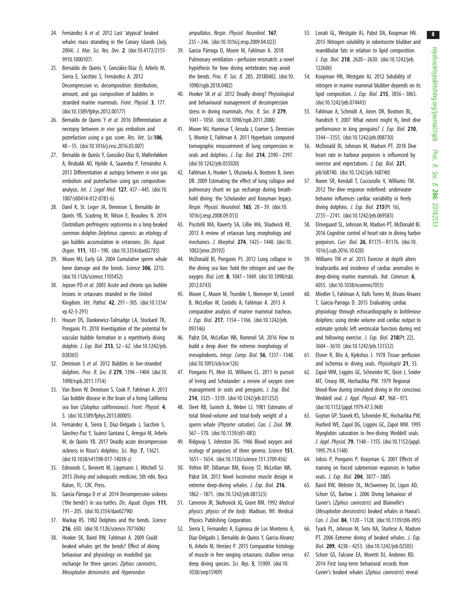- 24. Fernández A et al. 2012 Last 'atypical' beaked whales mass stranding in the Canary Islands (July, 2004). J. Mar. Sci. Res. Dev. 2. (doi:10.4172/2155- 9910.1000107)
- 25. Bernaldo de Quirós Y, González-Díaz Ó, Arbelo M, Sierra E, Sacchini S, Fernández A. 2012 Decompression vs. decomposition: distribution, amount, and gas composition of bubbles in stranded marine mammals. Front. Physiol. 3, 177. (doi:10.3389/fphys.2012.00177)
- 26. Bernaldo de Quirós Y et al. 2016 Differentiation at necropsy between in vivo gas embolism and putrefaction using a gas score. Res. Vet. Sci.106, 48 – 55. (doi:10.1016/j.rvsc.2016.03.007)
- 27. Bernaldo de Quirós Y, González-Díaz O, Møllerløkken A, Brubakk AO, Hjelde A, Saavedra P, Fernández A. 2013 Differentiation at autopsy between in vivo gas embolism and putrefaction using gas composition analysis. Int. J. Legal Med. 127, 437 – 445. (doi:10. 1007/s00414-012-0783-6)
- 28. Danil K, St. Leger JA, Dennison S, Bernaldo de Quirós YB, Scadeng M, Nilson E, Beaulieu N. 2014 Clostridium perfringens septicemia in a long-beaked common dolphin Delphinus capensis: an etiology of gas bubble accumulation in cetaceans. Dis. Aquat. Organ. 111, 183– 190. (doi:10.3354/dao02783)
- 29. Moore MJ, Early GA. 2004 Cumulative sperm whale bone damage and the bends. Science 306, 2215. (doi:10.1126/science.1105452)
- 30. Jepson PD et al. 2005 Acute and chronic gas bubble lesions in cetaceans stranded in the United Kingdom. Vet. Pathol. 42, 291– 305. (doi:10.1354/ vp.42-3-291)
- 31. Houser DS, Dankiewicz-Talmadge LA, Stockard TK, Ponganis PJ. 2010 Investigation of the potential for vascular bubble formation in a repetitively diving dolphin. J. Exp. Biol. 213, 52 – 62. (doi:10.1242/jeb. 028365)
- 32. Dennison S et al. 2012 Bubbles in live-stranded dolphins. Proc. R. Soc. B 279, 1396– 1404. (doi:10. 1098/rspb.2011.1754)
- 33. Van Bonn W, Dennison S, Cook P, Fahlman A. 2013 Gas bubble disease in the brain of a living California sea lion (Zalophus californianus). Front. Physiol. 4, 5. (doi:10.3389/fphys.2013.00005)
- 34. Fernández A, Sierra E, Díaz-Delgado J, Sacchini S, Sánchez-Paz Y, Suárez-Santana C, Arregui M, Arbelo M, de Quirós YB. 2017 Deadly acute decompression sickness in Risso's dolphins. Sci. Rep. 7, 13621. (doi:10.1038/s41598-017-14038-z)
- 35. Edmonds C, Bennett M, Lippmann J, Mitchell SJ. 2015 Diving and subaquatic medicine, 5th edn. Boca Raton, FL: CRC Press.
- 36. García-Párraga D et al. 2014 Decompression sickness ('the bends') in sea turtles. Dis. Aquat. Organ. 111, 191– 205. (doi:10.3354/dao02790)
- 37. Mackay RS. 1982 Dolphins and the bends. Science 216, 650. (doi:10.1126/science.7071606)
- 38. Hooker SK, Baird RW, Fahlman A. 2009 Could beaked whales get the bends? Effect of diving behaviour and physiology on modelled gas exchange for three species: Ziphius cavirostris, Mesoplodon densirostris and Hyperoodon

ampullatus. Respir. Physiol. Neurobiol. 167, 235 – 246. (doi:10.1016/j.resp.2009.04.023)

- 39. Garcia Párraga D, Moore M, Fahlman A. 2018 Pulmonary ventilation –perfusion mismatch: a novel hypothesis for how diving vertebrates may avoid the bends. Proc. R. Soc. B. 285, 20180482. (doi:10. 1098/rspb.2018.0482)
- 40. Hooker SK et al. 2012 Deadly diving? Physiological and behavioural management of decompression stress in diving mammals. Proc. R. Soc. B 279, 1041– 1050. (doi:10.1098/rspb.2011.2088)
- 41. Moore MJ, Hammar T, Arruda J, Cramer S, Dennison S, Montie E, Fahlman A. 2011 Hyperbaric computed tomographic measurement of lung compression in seals and dolphins. *J. Exp. Biol.* **214**, 2390-2397. (doi:10.1242/jeb.055020)
- 42. Fahlman A, Hooker S, Olszowka A, Bostrom B, Jones DR. 2009 Estimating the effect of lung collapse and pulmonary shunt on gas exchange during breathhold diving: the Scholander and Kooyman legacy. Respir. Physiol. Neurobiol. 165, 28– 39. (doi:10. 1016/j.resp.2008.09.013)
- 43. Piscitelli MA, Raverty SA, Lillie MA, Shadwick RE. 2013 A review of cetacean lung morphology and mechanics. J. Morphol. 274, 1425 – 1440. (doi:10. 1002/jmor.20192)
- 44. McDonald BI, Ponganis PJ. 2012 Lung collapse in the diving sea lion: hold the nitrogen and save the oxygen. Biol. Lett. 8, 1047– 1049. (doi:10.1098/rsbl. 2012.0743)
- 45. Moore C, Moore M, Trumble S, Niemeyer M, Lentell B, McLellan W, Costidis A, Fahlman A. 2013 A comparative analysis of marine mammal tracheas. J. Exp. Biol. 217, 1154– 1166. (doi:10.1242/jeb. 093146)
- 46. Pabst DA, McLellan WA, Rommel SA. 2016 How to build a deep diver: the extreme morphology of mesoplodonts. Integr. Comp. Biol. 56, 1337 – 1348. (doi:10.1093/icb/icw126)
- 47. Ponganis PJ, Meir JU, Williams CL. 2011 In pursuit of Irving and Scholander: a review of oxygen store management in seals and penguins. J. Exp. Biol. 214, 3325 – 3339. (doi:10.1242/jeb.031252)
- 48. Sleet RB, Sumich JL, Weber LJ. 1981 Estimates of total blood-volume and total-body weight of a sperm whale (Physeter catodon). Can. J. Zool. 59, 567 – 570. (doi:10.1139/z81-083)
- 49. Ridgway S, Johnston DG. 1966 Blood oxygen and ecology of porpoises of three genera. Science 151, 1651– 1654. (doi:10.1126/science.151.3709.456)
- 50. Velten BP, Dillaman RM, Kinsey ST, McLellan WA, Pabst DA. 2013 Novel locomotor muscle design in extreme deep-diving whales. J. Exp. Biol. 216, 1862– 1871. (doi:10.1242/jeb.081323)
- 51. Cameron JR, Skofronick JG, Grant RM. 1992 Medical physics: physics of the body. Madison, WI: Medical Physics Publishing Corporation.
- 52. Sierra E, Fernandez A, Espinosa de Los Monteros A, Diaz-Delgado J, Bernaldo de Quiros Y, Garcia-Alvarez N, Arbelo M, Herráez P. 2015 Comparative histology of muscle in free ranging cetaceans: shallow versus deep diving species. Sci. Rep. 5, 15909. (doi:10. 1038/srep15909)
- 53. Lonati GL, Westgate AJ, Pabst DA, Koopman HN. 2015 Nitrogen solubility in odontocete blubber and mandibular fats in relation to lipid composition. J. Exp. Biol. 218, 2620 – 2630. (doi:10.1242/jeb. 122606)
- 54. Koopman HN, Westgate AJ. 2012 Solubility of nitrogen in marine mammal blubber depends on its lipid composition. *J. Exp. Biol.* **215**, 3856-3863. (doi:10.1242/jeb.074443)
- 55. Fahlman A, Schmidt A, Jones DR, Bostrom BL, Handrich Y. 2007 What extent might  $N<sub>2</sub>$  limit dive performance in king penguins? J. Exp. Biol. 210, 3344– 3355. (doi:10.1242/jeb.008730)
- 56. McDonald BI, Johnson M, Madsen PT. 2018 Dive heart rate in harbour porpoises is influenced by exercise and expectations. J. Exp. Biol. 221, jeb168740. (doi:10.1242/jeb.168740)
- 57. Noren SR, Kendall T, Cuccurullo V, Williams TM. 2012 The dive response redefined: underwater behavior influences cardiac variability in freely diving dolphins. J. Exp. Biol. 215(Pt 16), 2735– 2741. (doi:10.1242/jeb.069583)
- 58. Elmegaard SL, Johnson M, Madsen PT, McDonald BI. 2016 Cognitive control of heart rate in diving harbor porpoises. Curr. Biol. 26, R1175 –R1176. (doi:10. 1016/j.cub.2016.10.020)
- 59. Williams TM et al. 2015 Exercise at depth alters bradycardia and incidence of cardiac anomalies in deep-diving marine mammals. Nat. Commun. 6, 6055. (doi:10.1038/ncomms7055)
- 60. Miedler S, Fahlman A, Valls Torres M, Alvaro Alvarez T, Garcia-Parraga D. 2015 Evaluating cardiac physiology through echocardiography in bottlenose dolphins: using stroke volume and cardiac output to estimate systolic left ventricular function during rest and following exercise. J. Exp. Biol. 218(Pt 22), 3604– 3610. (doi:10.1242/jeb.131532)
- 61. Elsner R, Blix A, Kjekshus J. 1978 Tissue perfusion and ischemia in diving seals. Physiologist 21, 33.
- 62. Zapol WM, Liggins GC, Schneider RC, Qvist J, Snider MT, Creasy RK, Hochachka PW. 1979 Regional blood-flow during simulated diving in the conscious Weddell seal. J. Appl. Physiol. 47, 968-973. (doi:10.1152/jappl.1979.47.5.968)
- 63. Guyton GP, Stanek KS, Schneider RC, Hochachka PW, Hurford WE, Zapol DG, Liggins GC, Zapol WM. 1995 Myoglobin saturation in free-diving Weddell seals. J. Appl. Physiol. 79, 1148– 1155. (doi:10.1152/jappl. 1995.79.4.1148)
- 64. Jobsis P, Ponganis P, Kooyman G. 2001 Effects of training on forced submersion responses in harbor seals. J. Exp. Biol. 204, 3877-3885.
- 65. Baird RW, Webster DL, McSweeney DJ, Ligon AD, Schorr GS, Barlow J. 2006 Diving behaviour of Cuvier's (Ziphius cavirostris) and Blainville's (Mesoplodon densirostris) beaked whales in Hawai'i. Can. J. Zool. 84, 1120– 1128. (doi:10.1139/z06-095)
- 66. Tyack PL, Johnson M, Soto NA, Sturlese A, Madsen PT. 2006 Extreme diving of beaked whales. J. Exp. Biol. 209, 4238– 4253. (doi:10.1242/jeb.02505)
- 67. Schorr GS, Falcone EA, Moretti DJ, Andrews RD. 2014 First long-term behavioral records from Cuvier's beaked whales (Ziphius cavirostris) reveal